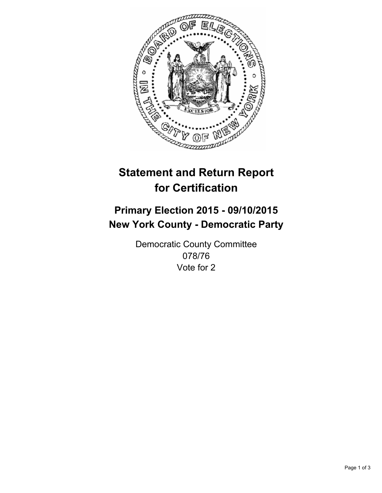

# **Statement and Return Report for Certification**

## **Primary Election 2015 - 09/10/2015 New York County - Democratic Party**

Democratic County Committee 078/76 Vote for 2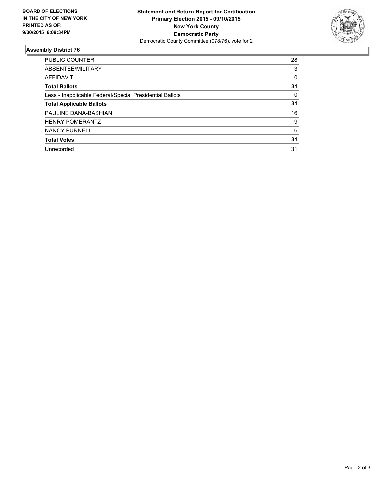

#### **Assembly District 76**

| <b>PUBLIC COUNTER</b>                                    | 28 |
|----------------------------------------------------------|----|
|                                                          |    |
| ABSENTEE/MILITARY                                        | 3  |
| AFFIDAVIT                                                | 0  |
| <b>Total Ballots</b>                                     | 31 |
| Less - Inapplicable Federal/Special Presidential Ballots | 0  |
| <b>Total Applicable Ballots</b>                          | 31 |
| PAULINE DANA-BASHIAN                                     | 16 |
| <b>HENRY POMERANTZ</b>                                   | 9  |
| <b>NANCY PURNELL</b>                                     | 6  |
| <b>Total Votes</b>                                       | 31 |
| Unrecorded                                               | 31 |